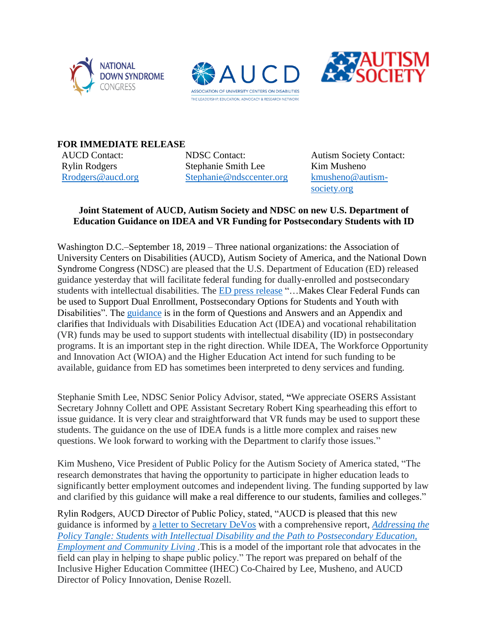





**FOR IMMEDIATE RELEASE**

AUCD Contact: Rylin Rodgers [Rrodgers@aucd.org](mailto:Rrodgers@aucd.org) NDSC Contact: Stephanie Smith Lee [Stephanie@ndsccenter.org](mailto:Stephanie@ndsccenter.org)

Autism Society Contact: Kim Musheno [kmusheno@autism](mailto:kmusheno@autism-society.org)[society.org](mailto:kmusheno@autism-society.org)

## **Joint Statement of AUCD, Autism Society and NDSC on new U.S. Department of Education Guidance on IDEA and VR Funding for Postsecondary Students with ID**

Washington D.C.–September 18, 2019 – Three national organizations: the Association of University Centers on Disabilities (AUCD), Autism Society of America, and the National Down Syndrome Congress (NDSC) are pleased that the U.S. Department of Education (ED) released guidance yesterday that will facilitate federal funding for dually-enrolled and postsecondary students with intellectual disabilities. The [ED press release](https://www.ed.gov/news/press-releases/secretary-devos-makes-clear-federal-funds-can-be-used-support-dual-enrollment-postsecondary-options-students-and-youth-disabilities?utm_content=&utm_medium=email&utm_name=&utm_source=govdelivery&utm_term=) "...Makes Clear Federal Funds can be used to Support Dual Enrollment, Postsecondary Options for Students and Youth with Disabilities". The [guidance](https://www2.ed.gov/policy/speced/guid/increasing-postsecondary-opportunities-and-success-09-17-2019.pdf) is in the form of Questions and Answers and an Appendix and clarifies that Individuals with Disabilities Education Act (IDEA) and vocational rehabilitation (VR) funds may be used to support students with intellectual disability (ID) in postsecondary programs. It is an important step in the right direction. While IDEA, The Workforce Opportunity and Innovation Act (WIOA) and the Higher Education Act intend for such funding to be available, guidance from ED has sometimes been interpreted to deny services and funding.

Stephanie Smith Lee, NDSC Senior Policy Advisor, stated, **"**We appreciate OSERS Assistant Secretary Johnny Collett and OPE Assistant Secretary Robert King spearheading this effort to issue guidance. It is very clear and straightforward that VR funds may be used to support these students. The guidance on the use of IDEA funds is a little more complex and raises new questions. We look forward to working with the Department to clarify those issues."

Kim Musheno, Vice President of Public Policy for the Autism Society of America stated, "The research demonstrates that having the opportunity to participate in higher education leads to significantly better employment outcomes and independent living. The funding supported by law and clarified by this guidance will make a real difference to our students, families and colleges."

Rylin Rodgers, AUCD Director of Public Policy, stated, "AUCD is pleased that this new guidance is informed by a letter [to Secretary DeVos](https://www.ndsccenter.org/wp-content/uploads/DeVos-Letter-080918.pdf) with a comprehensive report, *[Addressing the](https://www.ndsccenter.org/wp-content/uploads/Addressing-the-Policy-Tangle-Report-PDF.pdf)  [Policy Tangle: Students with Intellectual Disability and the Path to Postsecondary Education,](https://www.ndsccenter.org/wp-content/uploads/Addressing-the-Policy-Tangle-Report-PDF.pdf)  [Employment and Community Living](https://www.ndsccenter.org/wp-content/uploads/Addressing-the-Policy-Tangle-Report-PDF.pdf) .*This is a model of the important role that advocates in the field can play in helping to shape public policy." The report was prepared on behalf of the Inclusive Higher Education Committee (IHEC) Co-Chaired by Lee, Musheno, and AUCD Director of Policy Innovation, Denise Rozell.